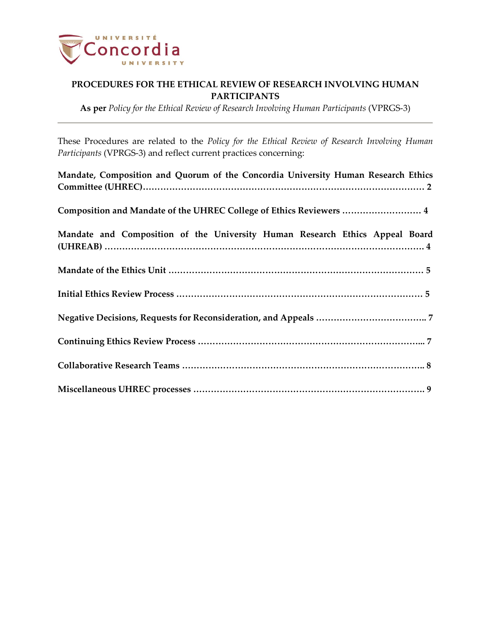

**As per** *Policy for the Ethical Review of Research Involving Human Participants* (VPRGS-3)

These Procedures are related to the *Policy for the Ethical Review of Research Involving Human Participants* (VPRGS-3) and reflect current practices concerning:

| Mandate, Composition and Quorum of the Concordia University Human Research Ethics |
|-----------------------------------------------------------------------------------|
| Composition and Mandate of the UHREC College of Ethics Reviewers  4               |
| Mandate and Composition of the University Human Research Ethics Appeal Board      |
|                                                                                   |
|                                                                                   |
|                                                                                   |
|                                                                                   |
|                                                                                   |
|                                                                                   |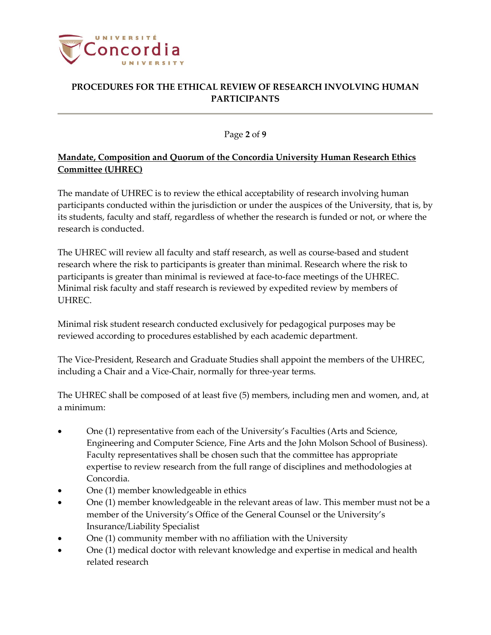

### Page **2** of **9**

# **Mandate, Composition and Quorum of the Concordia University Human Research Ethics Committee (UHREC)**

The mandate of UHREC is to review the ethical acceptability of research involving human participants conducted within the jurisdiction or under the auspices of the University, that is, by its students, faculty and staff, regardless of whether the research is funded or not, or where the research is conducted.

The UHREC will review all faculty and staff research, as well as course-based and student research where the risk to participants is greater than minimal. Research where the risk to participants is greater than minimal is reviewed at face-to-face meetings of the UHREC. Minimal risk faculty and staff research is reviewed by expedited review by members of UHREC.

Minimal risk student research conducted exclusively for pedagogical purposes may be reviewed according to procedures established by each academic department.

The Vice-President, Research and Graduate Studies shall appoint the members of the UHREC, including a Chair and a Vice-Chair, normally for three-year terms.

The UHREC shall be composed of at least five (5) members, including men and women, and, at a minimum:

- One (1) representative from each of the University's Faculties (Arts and Science, Engineering and Computer Science, Fine Arts and the John Molson School of Business). Faculty representatives shall be chosen such that the committee has appropriate expertise to review research from the full range of disciplines and methodologies at Concordia.
- One (1) member knowledgeable in ethics
- One (1) member knowledgeable in the relevant areas of law. This member must not be a member of the University's Office of the General Counsel or the University's Insurance/Liability Specialist
- One (1) community member with no affiliation with the University
- One (1) medical doctor with relevant knowledge and expertise in medical and health related research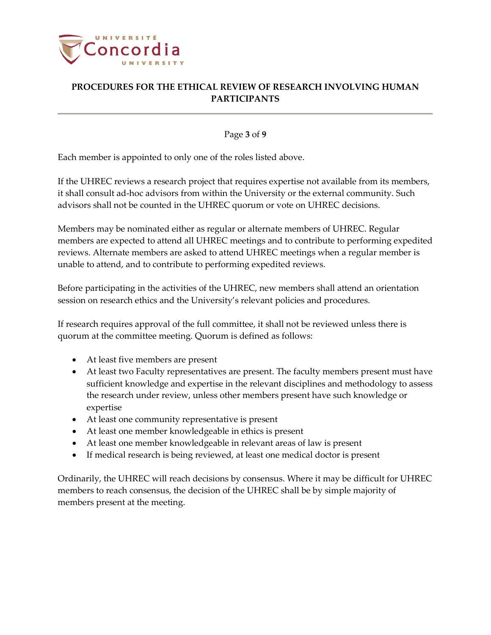

Page **3** of **9**

Each member is appointed to only one of the roles listed above.

If the UHREC reviews a research project that requires expertise not available from its members, it shall consult ad-hoc advisors from within the University or the external community. Such advisors shall not be counted in the UHREC quorum or vote on UHREC decisions.

Members may be nominated either as regular or alternate members of UHREC. Regular members are expected to attend all UHREC meetings and to contribute to performing expedited reviews. Alternate members are asked to attend UHREC meetings when a regular member is unable to attend, and to contribute to performing expedited reviews.

Before participating in the activities of the UHREC, new members shall attend an orientation session on research ethics and the University's relevant policies and procedures.

If research requires approval of the full committee, it shall not be reviewed unless there is quorum at the committee meeting. Quorum is defined as follows:

- At least five members are present
- At least two Faculty representatives are present. The faculty members present must have sufficient knowledge and expertise in the relevant disciplines and methodology to assess the research under review, unless other members present have such knowledge or expertise
- At least one community representative is present
- At least one member knowledgeable in ethics is present
- At least one member knowledgeable in relevant areas of law is present
- If medical research is being reviewed, at least one medical doctor is present

Ordinarily, the UHREC will reach decisions by consensus. Where it may be difficult for UHREC members to reach consensus, the decision of the UHREC shall be by simple majority of members present at the meeting.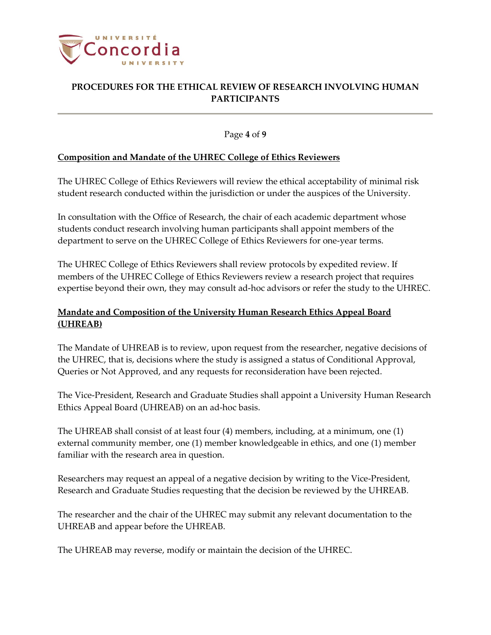

Page **4** of **9**

### **Composition and Mandate of the UHREC College of Ethics Reviewers**

The UHREC College of Ethics Reviewers will review the ethical acceptability of minimal risk student research conducted within the jurisdiction or under the auspices of the University.

In consultation with the Office of Research, the chair of each academic department whose students conduct research involving human participants shall appoint members of the department to serve on the UHREC College of Ethics Reviewers for one-year terms.

The UHREC College of Ethics Reviewers shall review protocols by expedited review. If members of the UHREC College of Ethics Reviewers review a research project that requires expertise beyond their own, they may consult ad-hoc advisors or refer the study to the UHREC.

## **Mandate and Composition of the University Human Research Ethics Appeal Board (UHREAB)**

The Mandate of UHREAB is to review, upon request from the researcher, negative decisions of the UHREC, that is, decisions where the study is assigned a status of Conditional Approval, Queries or Not Approved, and any requests for reconsideration have been rejected.

The Vice-President, Research and Graduate Studies shall appoint a University Human Research Ethics Appeal Board (UHREAB) on an ad-hoc basis.

The UHREAB shall consist of at least four (4) members, including, at a minimum, one (1) external community member, one (1) member knowledgeable in ethics, and one (1) member familiar with the research area in question.

Researchers may request an appeal of a negative decision by writing to the Vice-President, Research and Graduate Studies requesting that the decision be reviewed by the UHREAB.

The researcher and the chair of the UHREC may submit any relevant documentation to the UHREAB and appear before the UHREAB.

The UHREAB may reverse, modify or maintain the decision of the UHREC.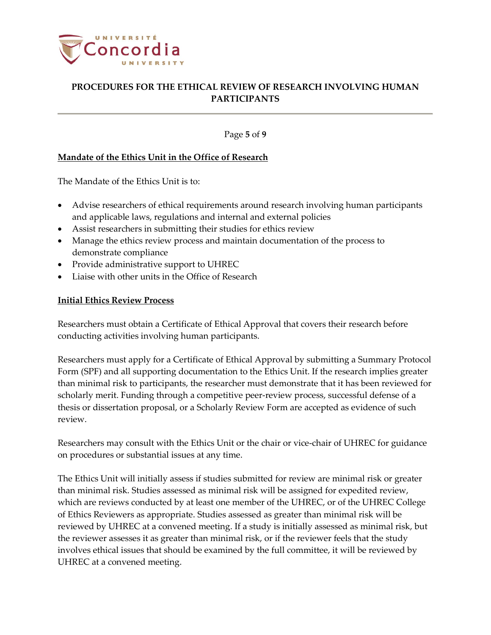

Page **5** of **9**

### **Mandate of the Ethics Unit in the Office of Research**

The Mandate of the Ethics Unit is to:

- Advise researchers of ethical requirements around research involving human participants and applicable laws, regulations and internal and external policies
- Assist researchers in submitting their studies for ethics review
- Manage the ethics review process and maintain documentation of the process to demonstrate compliance
- Provide administrative support to UHREC
- Liaise with other units in the Office of Research

### **Initial Ethics Review Process**

Researchers must obtain a Certificate of Ethical Approval that covers their research before conducting activities involving human participants.

Researchers must apply for a Certificate of Ethical Approval by submitting a Summary Protocol Form (SPF) and all supporting documentation to the Ethics Unit. If the research implies greater than minimal risk to participants, the researcher must demonstrate that it has been reviewed for scholarly merit. Funding through a competitive peer-review process, successful defense of a thesis or dissertation proposal, or a Scholarly Review Form are accepted as evidence of such review.

Researchers may consult with the Ethics Unit or the chair or vice-chair of UHREC for guidance on procedures or substantial issues at any time.

The Ethics Unit will initially assess if studies submitted for review are minimal risk or greater than minimal risk. Studies assessed as minimal risk will be assigned for expedited review, which are reviews conducted by at least one member of the UHREC, or of the UHREC College of Ethics Reviewers as appropriate. Studies assessed as greater than minimal risk will be reviewed by UHREC at a convened meeting. If a study is initially assessed as minimal risk, but the reviewer assesses it as greater than minimal risk, or if the reviewer feels that the study involves ethical issues that should be examined by the full committee, it will be reviewed by UHREC at a convened meeting.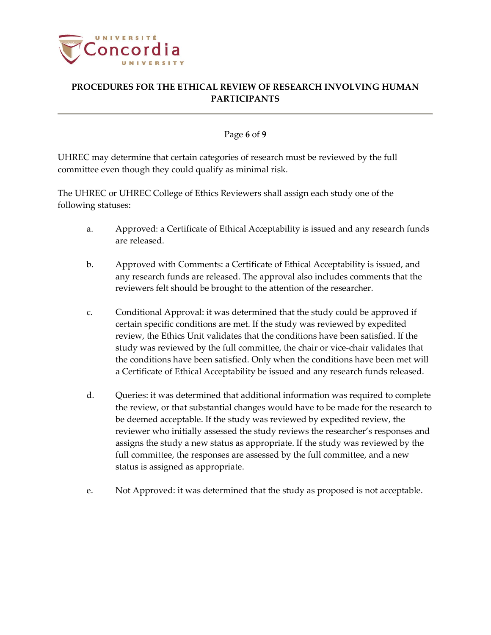

#### Page **6** of **9**

UHREC may determine that certain categories of research must be reviewed by the full committee even though they could qualify as minimal risk.

The UHREC or UHREC College of Ethics Reviewers shall assign each study one of the following statuses:

- a. Approved: a Certificate of Ethical Acceptability is issued and any research funds are released.
- b. Approved with Comments: a Certificate of Ethical Acceptability is issued, and any research funds are released. The approval also includes comments that the reviewers felt should be brought to the attention of the researcher.
- c. Conditional Approval: it was determined that the study could be approved if certain specific conditions are met. If the study was reviewed by expedited review, the Ethics Unit validates that the conditions have been satisfied. If the study was reviewed by the full committee, the chair or vice-chair validates that the conditions have been satisfied. Only when the conditions have been met will a Certificate of Ethical Acceptability be issued and any research funds released.
- d. Queries: it was determined that additional information was required to complete the review, or that substantial changes would have to be made for the research to be deemed acceptable. If the study was reviewed by expedited review, the reviewer who initially assessed the study reviews the researcher's responses and assigns the study a new status as appropriate. If the study was reviewed by the full committee, the responses are assessed by the full committee, and a new status is assigned as appropriate.
- e. Not Approved: it was determined that the study as proposed is not acceptable.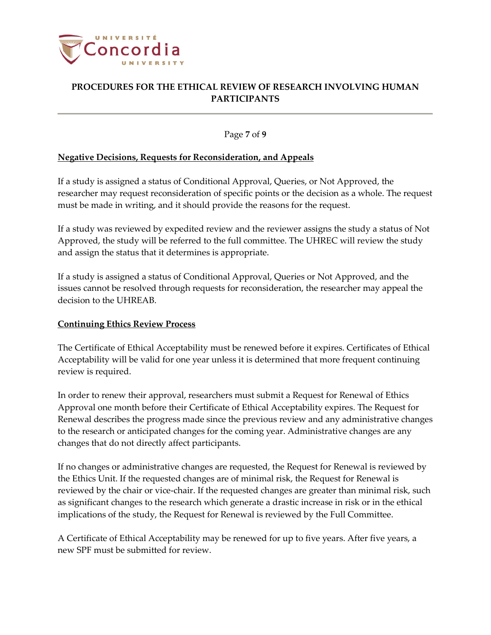

Page **7** of **9**

### **Negative Decisions, Requests for Reconsideration, and Appeals**

If a study is assigned a status of Conditional Approval, Queries, or Not Approved, the researcher may request reconsideration of specific points or the decision as a whole. The request must be made in writing, and it should provide the reasons for the request.

If a study was reviewed by expedited review and the reviewer assigns the study a status of Not Approved, the study will be referred to the full committee. The UHREC will review the study and assign the status that it determines is appropriate.

If a study is assigned a status of Conditional Approval, Queries or Not Approved, and the issues cannot be resolved through requests for reconsideration, the researcher may appeal the decision to the UHREAB.

#### **Continuing Ethics Review Process**

The Certificate of Ethical Acceptability must be renewed before it expires. Certificates of Ethical Acceptability will be valid for one year unless it is determined that more frequent continuing review is required.

In order to renew their approval, researchers must submit a Request for Renewal of Ethics Approval one month before their Certificate of Ethical Acceptability expires. The Request for Renewal describes the progress made since the previous review and any administrative changes to the research or anticipated changes for the coming year. Administrative changes are any changes that do not directly affect participants.

If no changes or administrative changes are requested, the Request for Renewal is reviewed by the Ethics Unit. If the requested changes are of minimal risk, the Request for Renewal is reviewed by the chair or vice-chair. If the requested changes are greater than minimal risk, such as significant changes to the research which generate a drastic increase in risk or in the ethical implications of the study, the Request for Renewal is reviewed by the Full Committee.

A Certificate of Ethical Acceptability may be renewed for up to five years. After five years, a new SPF must be submitted for review.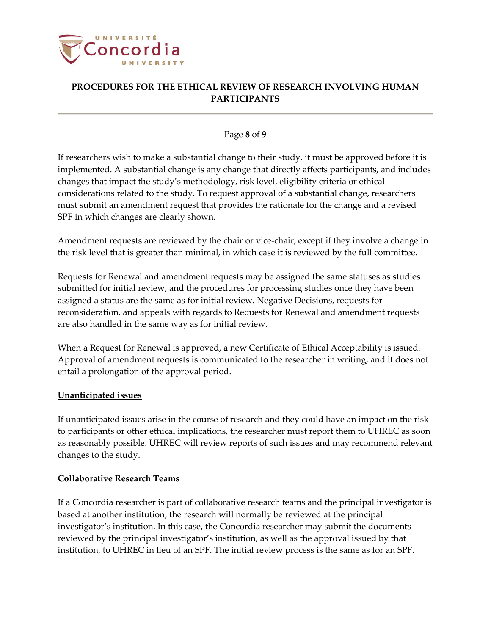

### Page **8** of **9**

If researchers wish to make a substantial change to their study, it must be approved before it is implemented. A substantial change is any change that directly affects participants, and includes changes that impact the study's methodology, risk level, eligibility criteria or ethical considerations related to the study. To request approval of a substantial change, researchers must submit an amendment request that provides the rationale for the change and a revised SPF in which changes are clearly shown.

Amendment requests are reviewed by the chair or vice-chair, except if they involve a change in the risk level that is greater than minimal, in which case it is reviewed by the full committee.

Requests for Renewal and amendment requests may be assigned the same statuses as studies submitted for initial review, and the procedures for processing studies once they have been assigned a status are the same as for initial review. Negative Decisions, requests for reconsideration, and appeals with regards to Requests for Renewal and amendment requests are also handled in the same way as for initial review.

When a Request for Renewal is approved, a new Certificate of Ethical Acceptability is issued. Approval of amendment requests is communicated to the researcher in writing, and it does not entail a prolongation of the approval period.

## **Unanticipated issues**

If unanticipated issues arise in the course of research and they could have an impact on the risk to participants or other ethical implications, the researcher must report them to UHREC as soon as reasonably possible. UHREC will review reports of such issues and may recommend relevant changes to the study.

#### **Collaborative Research Teams**

If a Concordia researcher is part of collaborative research teams and the principal investigator is based at another institution, the research will normally be reviewed at the principal investigator's institution. In this case, the Concordia researcher may submit the documents reviewed by the principal investigator's institution, as well as the approval issued by that institution, to UHREC in lieu of an SPF. The initial review process is the same as for an SPF.